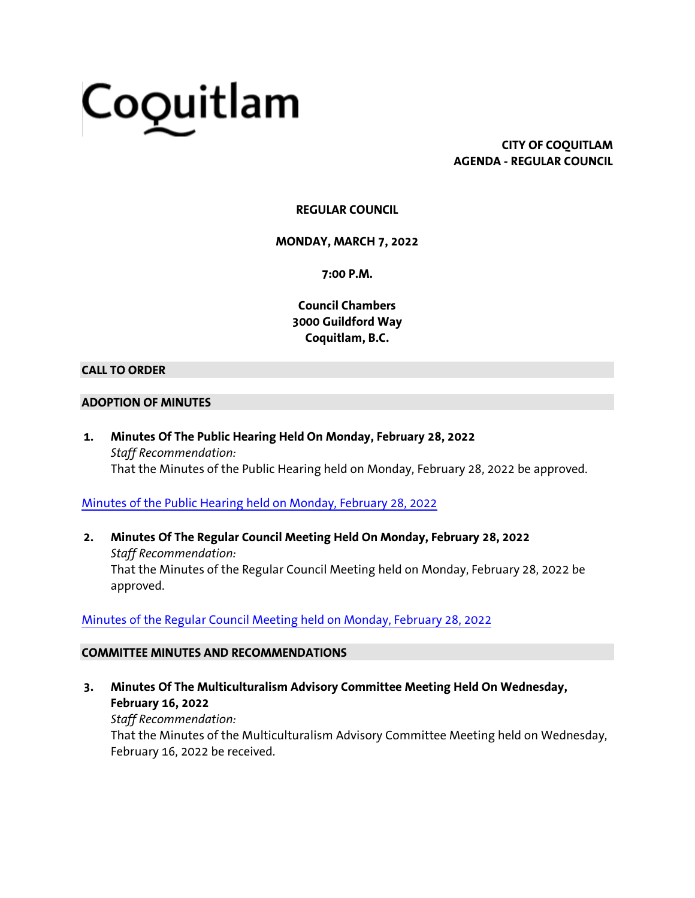# Coquitlam

**CITY OF COQUITLAM AGENDA - REGULAR COUNCIL**

# **REGULAR COUNCIL**

**MONDAY, MARCH 7, 2022**

**7:00 P.M.**

**Council Chambers 3000 Guildford Way Coquitlam, B.C.**

# **CALL TO ORDER**

### **ADOPTION OF MINUTES**

**1. Minutes Of The Public Hearing Held On Monday, February 28, 2022** *Staff Recommendation:* That the Minutes of the Public Hearing held on Monday, February 28, 2022 be approved.

# [Minutes of the Public Hearing held on Monday, February 28, 2022](https://coquitlam.ca.granicus.com/MetaViewer.php?view_id=2&event_id=1293&meta_id=53516)

**2. Minutes Of The Regular Council Meeting Held On Monday, February 28, 2022** *Staff Recommendation:* That the Minutes of the Regular Council Meeting held on Monday, February 28, 2022 be approved.

# [Minutes of the Regular Council Meeting held on Monday, February 28, 2022](https://coquitlam.ca.granicus.com/MetaViewer.php?view_id=2&event_id=1293&meta_id=53518)

### **COMMITTEE MINUTES AND RECOMMENDATIONS**

**3. Minutes Of The Multiculturalism Advisory Committee Meeting Held On Wednesday, February 16, 2022**

*Staff Recommendation:* That the Minutes of the Multiculturalism Advisory Committee Meeting held on Wednesday, February 16, 2022 be received.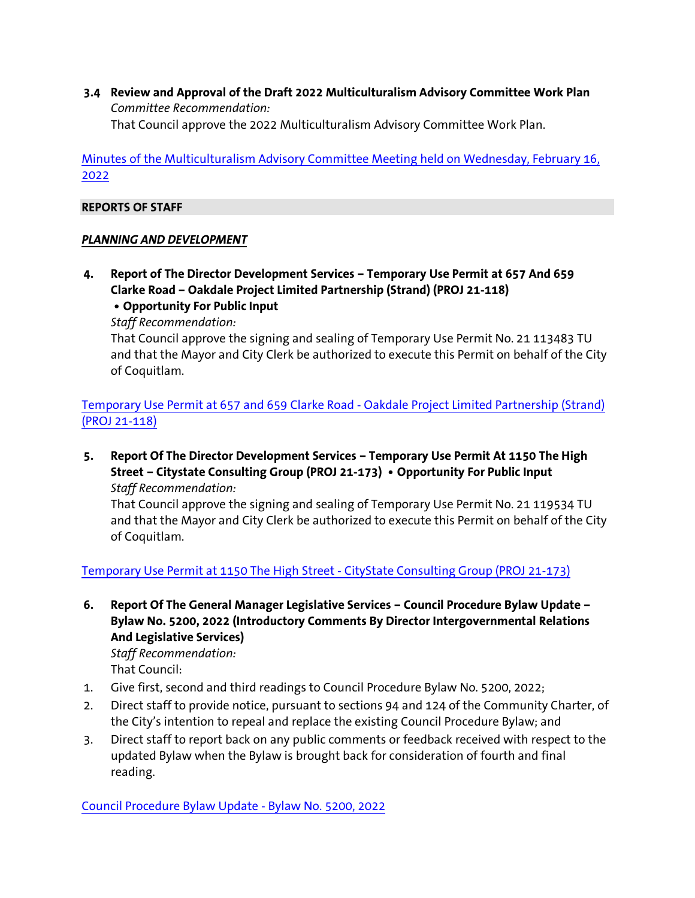**3.4 Review and Approval of the Draft 2022 Multiculturalism Advisory Committee Work Plan** *Committee Recommendation:* That Council approve the 2022 Multiculturalism Advisory Committee Work Plan.

[Minutes of the Multiculturalism Advisory Committee Meeting held on Wednesday, February 16,](https://coquitlam.ca.granicus.com/MetaViewer.php?view_id=2&event_id=1293&meta_id=53520)  [2022](https://coquitlam.ca.granicus.com/MetaViewer.php?view_id=2&event_id=1293&meta_id=53520)

## **REPORTS OF STAFF**

# *PLANNING AND DEVELOPMENT*

**4. Report of The Director Development Services – Temporary Use Permit at 657 And 659 Clarke Road – Oakdale Project Limited Partnership (Strand) (PROJ 21-118)**

**• Opportunity For Public Input**

*Staff Recommendation:*

That Council approve the signing and sealing of Temporary Use Permit No. 21 113483 TU and that the Mayor and City Clerk be authorized to execute this Permit on behalf of the City of Coquitlam.

[Temporary Use Permit at 657 and 659 Clarke Road -](https://coquitlam.ca.granicus.com/MetaViewer.php?view_id=2&event_id=1293&meta_id=53522) Oakdale Project Limited Partnership (Strand) [\(PROJ 21-118\)](https://coquitlam.ca.granicus.com/MetaViewer.php?view_id=2&event_id=1293&meta_id=53522)

**5. Report Of The Director Development Services – Temporary Use Permit At 1150 The High Street – Citystate Consulting Group (PROJ 21-173) • Opportunity For Public Input** *Staff Recommendation:*

That Council approve the signing and sealing of Temporary Use Permit No. 21 119534 TU and that the Mayor and City Clerk be authorized to execute this Permit on behalf of the City of Coquitlam.

[Temporary Use Permit at 1150 The High Street -](https://coquitlam.ca.granicus.com/MetaViewer.php?view_id=2&event_id=1293&meta_id=53524) CityState Consulting Group (PROJ 21-173)

**6. Report Of The General Manager Legislative Services – Council Procedure Bylaw Update – Bylaw No. 5200, 2022 (Introductory Comments By Director Intergovernmental Relations And Legislative Services)**

*Staff Recommendation:* That Council:

- 1. Give first, second and third readings to Council Procedure Bylaw No. 5200, 2022;
- 2. Direct staff to provide notice, pursuant to sections 94 and 124 of the Community Charter, of the City's intention to repeal and replace the existing Council Procedure Bylaw; and
- 3. Direct staff to report back on any public comments or feedback received with respect to the updated Bylaw when the Bylaw is brought back for consideration of fourth and final reading.

[Council Procedure Bylaw Update -](https://coquitlam.ca.granicus.com/MetaViewer.php?view_id=2&event_id=1293&meta_id=53526) Bylaw No. 5200, 2022